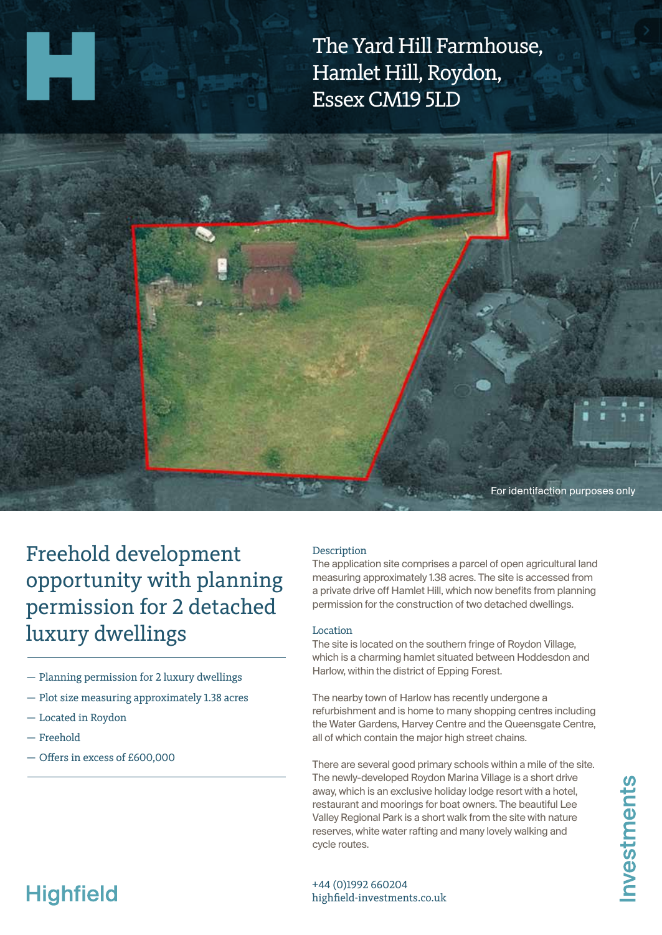The Yard Hill Farmhouse, Hamlet Hill, Roydon, Essex CM19 5LD



Freehold development opportunity with planning permission for 2 detached luxury dwellings

- Planning permission for 2 luxury dwellings
- Plot size measuring approximately 1.38 acres
- Located in Roydon
- Freehold
- Offers in excess of £600,000

#### **Description**

The application site comprises a parcel of open agricultural land measuring approximately 1.38 acres. The site is accessed from a private drive off Hamlet Hill, which now benefits from planning permission for the construction of two detached dwellings.

### Location

The site is located on the southern fringe of Roydon Village, which is a charming hamlet situated between Hoddesdon and Harlow, within the district of Epping Forest.

The nearby town of Harlow has recently undergone a refurbishment and is home to many shopping centres including the Water Gardens, Harvey Centre and the Queensgate Centre, all of which contain the major high street chains.

There are several good primary schools within a mile of the site. The newly-developed Roydon Marina Village is a short drive away, which is an exclusive holiday lodge resort with a hotel, restaurant and moorings for boat owners. The beautiful Lee Valley Regional Park is a short walk from the site with nature reserves, white water rafting and many lovely walking and cycle routes.

# **Highfield**

+44 (0)1992 660204 highfield-investments.co.uk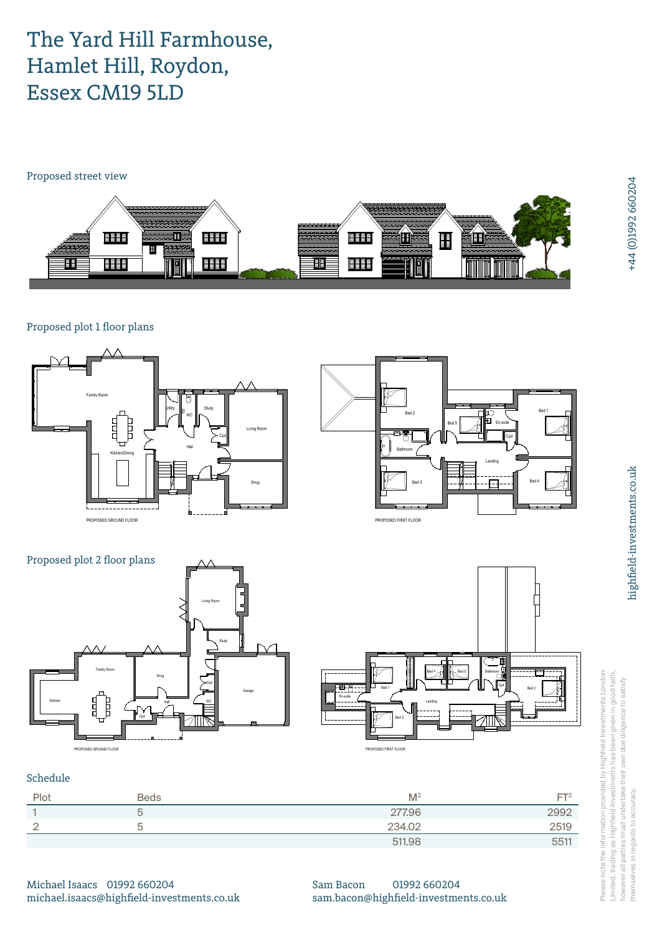## The Yard Hill Farmhouse, Hamlet Hill, Roydon, Essex CM19 5LD

Proposed street view



Proposed plot 1 floor plans



| Plot | <b>Beds</b> | M <sup>2</sup> | FТ   |
|------|-------------|----------------|------|
|      |             | 277.96         | 2992 |
|      |             | 234.02         | 2519 |
|      |             | 511.98         | 5511 |

Please note the information provided by Highfield Investments London Limited, trading as Highfield Investments has been given in good faith, however all parties must undertake their own due diligence to satisfy themselves in regards to accuracy.  $\overline{5}$   $\overline{2}$   $\overline{3}$   $\overline{2}$   $\overline{3}$   $\overline{3}$   $\overline{2}$   $\overline{3}$   $\overline{3}$   $\overline{2}$   $\overline{3}$   $\overline{3}$   $\overline{4}$   $\overline{5}$   $\overline{2}$   $\overline{3}$   $\overline{3}$   $\overline{2}$   $\overline{3}$   $\overline{3}$   $\overline{4}$   $\overline{5}$   $\overline{2}$   $\overline{3}$   $\overline{$ selves in regards to accuracy

Michael Isaacs 01992 660204 michael.isaacs@highfield-investments.co.uk Sam Bacon 01992 660204 sam.bacon@highfield-investments.co.uk